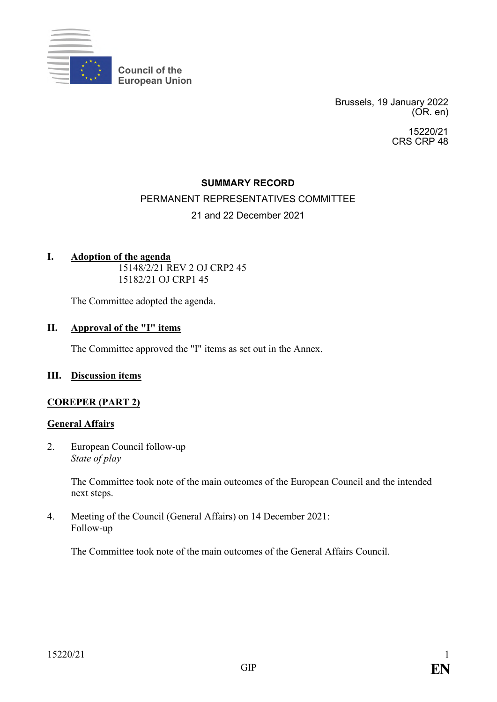

**Council of the European Union**

> Brussels, 19 January 2022 (OR. en)

> > 15220/21 CRS CRP 48

# **SUMMARY RECORD**

# PERMANENT REPRESENTATIVES COMMITTEE

# 21 and 22 December 2021

# **I. Adoption of the agenda**

15148/2/21 REV 2 OJ CRP2 45 15182/21 OJ CRP1 45

The Committee adopted the agenda.

## **II. Approval of the "I" items**

The Committee approved the "I" items as set out in the Annex.

### **III. Discussion items**

# **COREPER (PART 2)**

### **General Affairs**

2. European Council follow-up *State of play*

> The Committee took note of the main outcomes of the European Council and the intended next steps.

4. Meeting of the Council (General Affairs) on 14 December 2021: Follow-up

The Committee took note of the main outcomes of the General Affairs Council.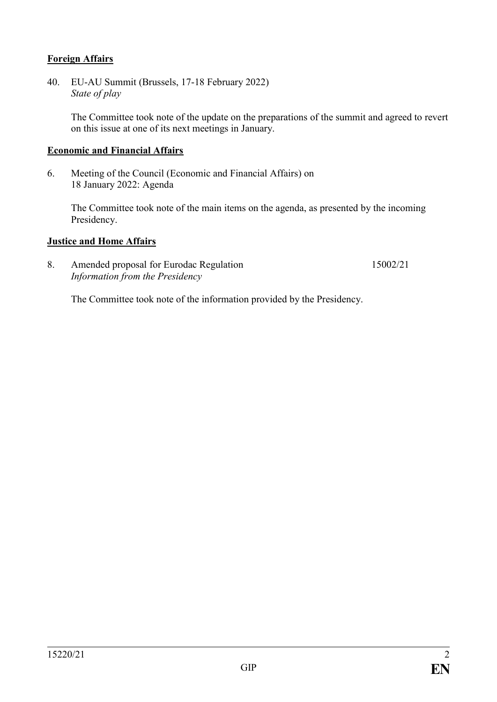# **Foreign Affairs**

40. EU-AU Summit (Brussels, 17-18 February 2022) *State of play*

> The Committee took note of the update on the preparations of the summit and agreed to revert on this issue at one of its next meetings in January.

### **Economic and Financial Affairs**

6. Meeting of the Council (Economic and Financial Affairs) on 18 January 2022: Agenda

The Committee took note of the main items on the agenda, as presented by the incoming Presidency.

### **Justice and Home Affairs**

8. Amended proposal for Eurodac Regulation *Information from the Presidency* 15002/21

The Committee took note of the information provided by the Presidency.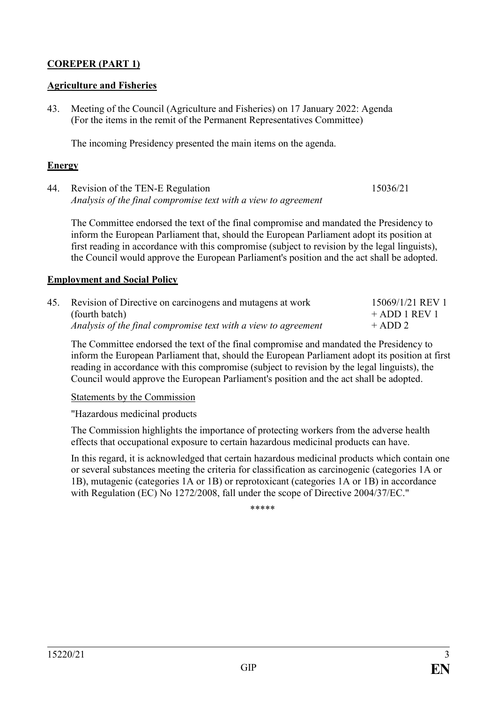# **COREPER (PART 1)**

# **Agriculture and Fisheries**

43. Meeting of the Council (Agriculture and Fisheries) on 17 January 2022: Agenda (For the items in the remit of the Permanent Representatives Committee)

The incoming Presidency presented the main items on the agenda.

# **Energy**

44. Revision of the TEN-E Regulation *Analysis of the final compromise text with a view to agreement* 15036/21

The Committee endorsed the text of the final compromise and mandated the Presidency to inform the European Parliament that, should the European Parliament adopt its position at first reading in accordance with this compromise (subject to revision by the legal linguists), the Council would approve the European Parliament's position and the act shall be adopted.

# **Employment and Social Policy**

| 45. Revision of Directive on carcinogens and mutagens at work  | 15069/1/21 REV 1 |
|----------------------------------------------------------------|------------------|
| (fourth batch)                                                 | $+$ ADD 1 REV 1  |
| Analysis of the final compromise text with a view to agreement | $+$ ADD 2        |

The Committee endorsed the text of the final compromise and mandated the Presidency to inform the European Parliament that, should the European Parliament adopt its position at first reading in accordance with this compromise (subject to revision by the legal linguists), the Council would approve the European Parliament's position and the act shall be adopted.

### Statements by the Commission

"Hazardous medicinal products

The Commission highlights the importance of protecting workers from the adverse health effects that occupational exposure to certain hazardous medicinal products can have.

In this regard, it is acknowledged that certain hazardous medicinal products which contain one or several substances meeting the criteria for classification as carcinogenic (categories 1A or 1B), mutagenic (categories 1A or 1B) or reprotoxicant (categories 1A or 1B) in accordance with Regulation (EC) No 1272/2008, fall under the scope of Directive 2004/37/EC."

\*\*\*\*\*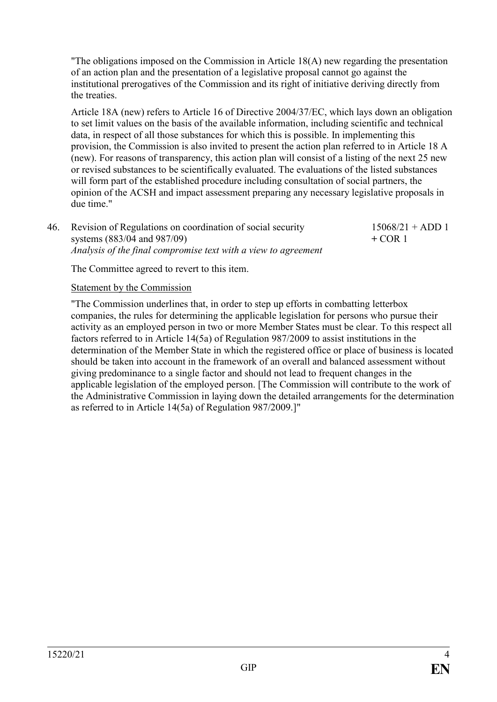"The obligations imposed on the Commission in Article 18(A) new regarding the presentation of an action plan and the presentation of a legislative proposal cannot go against the institutional prerogatives of the Commission and its right of initiative deriving directly from the treaties.

Article 18A (new) refers to Article 16 of Directive 2004/37/EC, which lays down an obligation to set limit values on the basis of the available information, including scientific and technical data, in respect of all those substances for which this is possible. In implementing this provision, the Commission is also invited to present the action plan referred to in Article 18 A (new). For reasons of transparency, this action plan will consist of a listing of the next 25 new or revised substances to be scientifically evaluated. The evaluations of the listed substances will form part of the established procedure including consultation of social partners, the opinion of the ACSH and impact assessment preparing any necessary legislative proposals in due time."

46. Revision of Regulations on coordination of social security systems (883/04 and 987/09) *Analysis of the final compromise text with a view to agreement*  $15068/21 + ADD 1$ **+** COR 1

The Committee agreed to revert to this item.

### Statement by the Commission

"The Commission underlines that, in order to step up efforts in combatting letterbox companies, the rules for determining the applicable legislation for persons who pursue their activity as an employed person in two or more Member States must be clear. To this respect all factors referred to in Article 14(5a) of Regulation 987/2009 to assist institutions in the determination of the Member State in which the registered office or place of business is located should be taken into account in the framework of an overall and balanced assessment without giving predominance to a single factor and should not lead to frequent changes in the applicable legislation of the employed person. [The Commission will contribute to the work of the Administrative Commission in laying down the detailed arrangements for the determination as referred to in Article 14(5a) of Regulation 987/2009.]"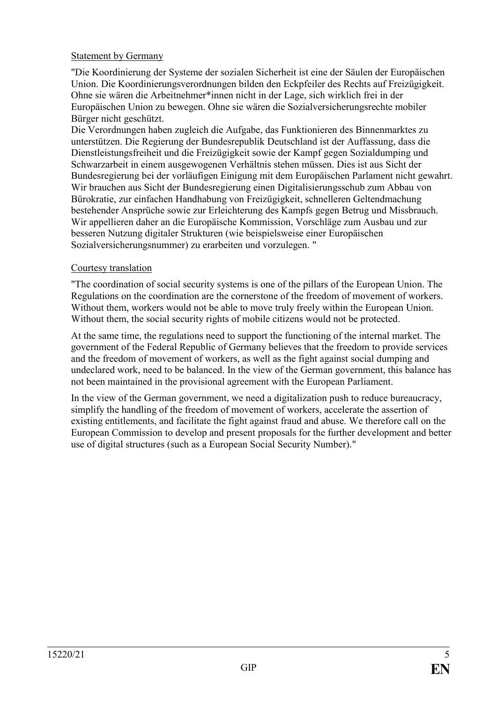# Statement by Germany

"Die Koordinierung der Systeme der sozialen Sicherheit ist eine der Säulen der Europäischen Union. Die Koordinierungsverordnungen bilden den Eckpfeiler des Rechts auf Freizügigkeit. Ohne sie wären die Arbeitnehmer\*innen nicht in der Lage, sich wirklich frei in der Europäischen Union zu bewegen. Ohne sie wären die Sozialversicherungsrechte mobiler Bürger nicht geschützt.

Die Verordnungen haben zugleich die Aufgabe, das Funktionieren des Binnenmarktes zu unterstützen. Die Regierung der Bundesrepublik Deutschland ist der Auffassung, dass die Dienstleistungsfreiheit und die Freizügigkeit sowie der Kampf gegen Sozialdumping und Schwarzarbeit in einem ausgewogenen Verhältnis stehen müssen. Dies ist aus Sicht der Bundesregierung bei der vorläufigen Einigung mit dem Europäischen Parlament nicht gewahrt. Wir brauchen aus Sicht der Bundesregierung einen Digitalisierungsschub zum Abbau von Bürokratie, zur einfachen Handhabung von Freizügigkeit, schnelleren Geltendmachung bestehender Ansprüche sowie zur Erleichterung des Kampfs gegen Betrug und Missbrauch. Wir appellieren daher an die Europäische Kommission, Vorschläge zum Ausbau und zur besseren Nutzung digitaler Strukturen (wie beispielsweise einer Europäischen Sozialversicherungsnummer) zu erarbeiten und vorzulegen. "

# Courtesy translation

"The coordination of social security systems is one of the pillars of the European Union. The Regulations on the coordination are the cornerstone of the freedom of movement of workers. Without them, workers would not be able to move truly freely within the European Union. Without them, the social security rights of mobile citizens would not be protected.

At the same time, the regulations need to support the functioning of the internal market. The government of the Federal Republic of Germany believes that the freedom to provide services and the freedom of movement of workers, as well as the fight against social dumping and undeclared work, need to be balanced. In the view of the German government, this balance has not been maintained in the provisional agreement with the European Parliament.

In the view of the German government, we need a digitalization push to reduce bureaucracy, simplify the handling of the freedom of movement of workers, accelerate the assertion of existing entitlements, and facilitate the fight against fraud and abuse. We therefore call on the European Commission to develop and present proposals for the further development and better use of digital structures (such as a European Social Security Number)."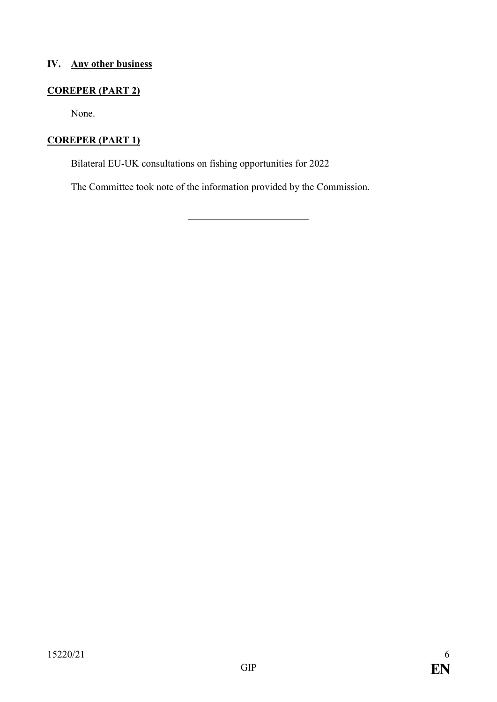# **IV. Any other business**

# **COREPER (PART 2)**

None.

# **COREPER (PART 1)**

Bilateral EU-UK consultations on fishing opportunities for 2022

The Committee took note of the information provided by the Commission.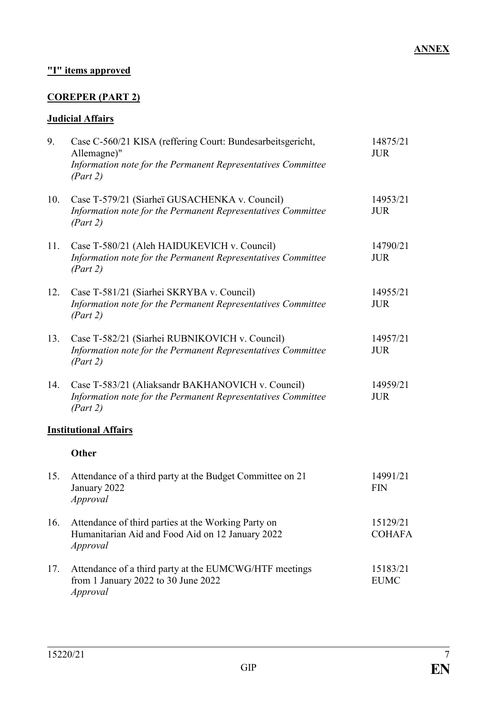# **"I" items approved**

# **COREPER (PART 2)**

# **Judicial Affairs**

| 9.  | Case C-560/21 KISA (reffering Court: Bundesarbeitsgericht,<br>Allemagne)"<br>Information note for the Permanent Representatives Committee<br>(Part 2) | 14875/21<br><b>JUR</b>    |
|-----|-------------------------------------------------------------------------------------------------------------------------------------------------------|---------------------------|
| 10. | Case T-579/21 (Siarhei GUSACHENKA v. Council)<br>Information note for the Permanent Representatives Committee<br>(Part 2)                             | 14953/21<br><b>JUR</b>    |
| 11. | Case T-580/21 (Aleh HAIDUKEVICH v. Council)<br>Information note for the Permanent Representatives Committee<br>(Part 2)                               | 14790/21<br><b>JUR</b>    |
| 12. | Case T-581/21 (Siarhei SKRYBA v. Council)<br>Information note for the Permanent Representatives Committee<br>(Part 2)                                 | 14955/21<br><b>JUR</b>    |
| 13. | Case T-582/21 (Siarhei RUBNIKOVICH v. Council)<br>Information note for the Permanent Representatives Committee<br>(Part 2)                            | 14957/21<br><b>JUR</b>    |
| 14. | Case T-583/21 (Aliaksandr BAKHANOVICH v. Council)<br>Information note for the Permanent Representatives Committee<br>(Part 2)                         | 14959/21<br><b>JUR</b>    |
|     | <b>Institutional Affairs</b>                                                                                                                          |                           |
|     | <b>Other</b>                                                                                                                                          |                           |
| 15. | Attendance of a third party at the Budget Committee on 21<br>January 2022<br>Approval                                                                 | 14991/21<br><b>FIN</b>    |
| 16. | Attendance of third parties at the Working Party on<br>Humanitarian Aid and Food Aid on 12 January 2022<br>Approval                                   | 15129/21<br><b>COHAFA</b> |
| 17. | Attendance of a third party at the EUMCWG/HTF meetings<br>from 1 January 2022 to 30 June 2022<br>Approval                                             | 15183/21<br><b>EUMC</b>   |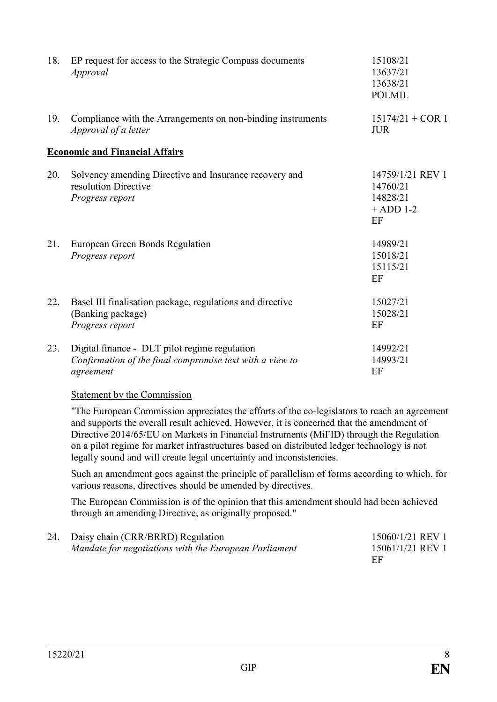| 18. | EP request for access to the Strategic Compass documents<br>Approval                                                   | 15108/21<br>13637/21<br>13638/21<br><b>POLMIL</b>             |
|-----|------------------------------------------------------------------------------------------------------------------------|---------------------------------------------------------------|
| 19. | Compliance with the Arrangements on non-binding instruments<br>Approval of a letter                                    | $15174/21 + COR$ 1<br><b>JUR</b>                              |
|     | <b>Economic and Financial Affairs</b>                                                                                  |                                                               |
| 20. | Solvency amending Directive and Insurance recovery and<br>resolution Directive<br>Progress report                      | 14759/1/21 REV 1<br>14760/21<br>14828/21<br>$+$ ADD 1-2<br>EF |
| 21. | European Green Bonds Regulation<br>Progress report                                                                     | 14989/21<br>15018/21<br>15115/21<br>EF                        |
| 22. | Basel III finalisation package, regulations and directive<br>(Banking package)<br>Progress report                      | 15027/21<br>15028/21<br>EF                                    |
| 23. | Digital finance - DLT pilot regime regulation<br>Confirmation of the final compromise text with a view to<br>agreement | 14992/21<br>14993/21<br>EF                                    |

# Statement by the Commission

"The European Commission appreciates the efforts of the co-legislators to reach an agreement and supports the overall result achieved. However, it is concerned that the amendment of Directive 2014/65/EU on Markets in Financial Instruments (MiFID) through the Regulation on a pilot regime for market infrastructures based on distributed ledger technology is not legally sound and will create legal uncertainty and inconsistencies.

Such an amendment goes against the principle of parallelism of forms according to which, for various reasons, directives should be amended by directives.

The European Commission is of the opinion that this amendment should had been achieved through an amending Directive, as originally proposed."

| 24. Daisy chain (CRR/BRRD) Regulation                 | 15060/1/21 REV 1 |
|-------------------------------------------------------|------------------|
| Mandate for negotiations with the European Parliament | 15061/1/21 REV 1 |
|                                                       | EF               |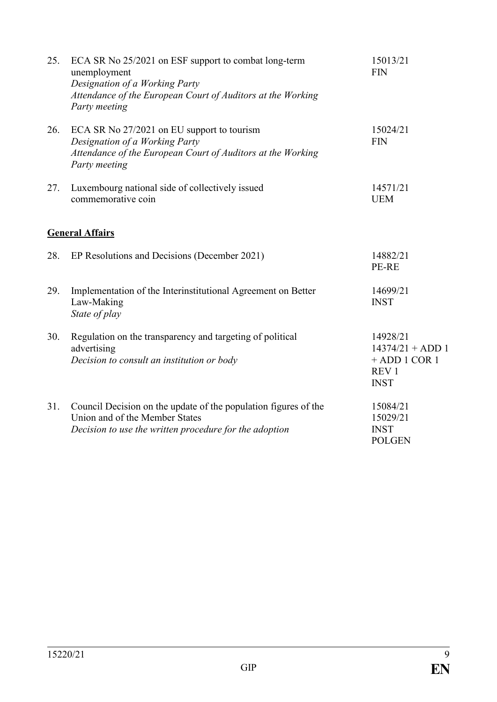| 25. | ECA SR No 25/2021 on ESF support to combat long-term<br>unemployment<br>Designation of a Working Party<br>Attendance of the European Court of Auditors at the Working<br>Party meeting | 15013/21<br><b>FIN</b>                                                               |
|-----|----------------------------------------------------------------------------------------------------------------------------------------------------------------------------------------|--------------------------------------------------------------------------------------|
| 26. | ECA SR No 27/2021 on EU support to tourism<br>Designation of a Working Party<br>Attendance of the European Court of Auditors at the Working<br>Party meeting                           | 15024/21<br><b>FIN</b>                                                               |
| 27. | Luxembourg national side of collectively issued<br>commemorative coin                                                                                                                  | 14571/21<br><b>UEM</b>                                                               |
|     | <b>General Affairs</b>                                                                                                                                                                 |                                                                                      |
| 28. | EP Resolutions and Decisions (December 2021)                                                                                                                                           | 14882/21<br>PE-RE                                                                    |
| 29. | Implementation of the Interinstitutional Agreement on Better<br>Law-Making<br>State of play                                                                                            | 14699/21<br><b>INST</b>                                                              |
| 30. | Regulation on the transparency and targeting of political<br>advertising<br>Decision to consult an institution or body                                                                 | 14928/21<br>$14374/21 + ADD 1$<br>$+$ ADD 1 COR 1<br>REV <sub>1</sub><br><b>INST</b> |
| 31. | Council Decision on the update of the population figures of the<br>Union and of the Member States<br>Decision to use the written procedure for the adoption                            | 15084/21<br>15029/21<br><b>INST</b><br><b>POLGEN</b>                                 |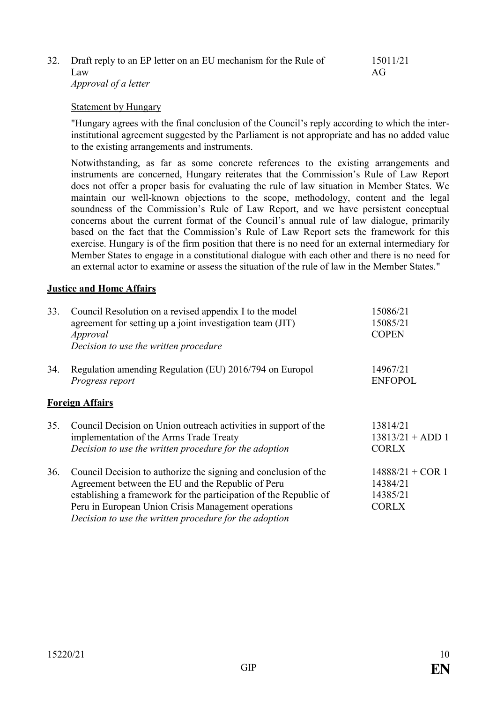| 32. Draft reply to an EP letter on an EU mechanism for the Rule of | 15011/21        |
|--------------------------------------------------------------------|-----------------|
| Law                                                                | AG <sub>L</sub> |
| <i>Approval of a letter</i>                                        |                 |

#### Statement by Hungary

"Hungary agrees with the final conclusion of the Council's reply according to which the interinstitutional agreement suggested by the Parliament is not appropriate and has no added value to the existing arrangements and instruments.

Notwithstanding, as far as some concrete references to the existing arrangements and instruments are concerned, Hungary reiterates that the Commission's Rule of Law Report does not offer a proper basis for evaluating the rule of law situation in Member States. We maintain our well-known objections to the scope, methodology, content and the legal soundness of the Commission's Rule of Law Report, and we have persistent conceptual concerns about the current format of the Council's annual rule of law dialogue, primarily based on the fact that the Commission's Rule of Law Report sets the framework for this exercise. Hungary is of the firm position that there is no need for an external intermediary for Member States to engage in a constitutional dialogue with each other and there is no need for an external actor to examine or assess the situation of the rule of law in the Member States."

### **Justice and Home Affairs**

| 33. | Council Resolution on a revised appendix I to the model<br>agreement for setting up a joint investigation team (JIT)<br>Approval                                                                                                                                                                           | 15086/21<br>15085/21<br><b>COPEN</b>                       |
|-----|------------------------------------------------------------------------------------------------------------------------------------------------------------------------------------------------------------------------------------------------------------------------------------------------------------|------------------------------------------------------------|
|     | Decision to use the written procedure                                                                                                                                                                                                                                                                      |                                                            |
| 34. | Regulation amending Regulation (EU) 2016/794 on Europol<br>Progress report                                                                                                                                                                                                                                 | 14967/21<br><b>ENFOPOL</b>                                 |
|     | <b>Foreign Affairs</b>                                                                                                                                                                                                                                                                                     |                                                            |
| 35. | Council Decision on Union outreach activities in support of the<br>implementation of the Arms Trade Treaty<br>Decision to use the written procedure for the adoption                                                                                                                                       | 13814/21<br>$13813/21 + ADD 1$<br><b>CORLX</b>             |
| 36. | Council Decision to authorize the signing and conclusion of the<br>Agreement between the EU and the Republic of Peru<br>establishing a framework for the participation of the Republic of<br>Peru in European Union Crisis Management operations<br>Decision to use the written procedure for the adoption | $14888/21 + COR$ 1<br>14384/21<br>14385/21<br><b>CORLX</b> |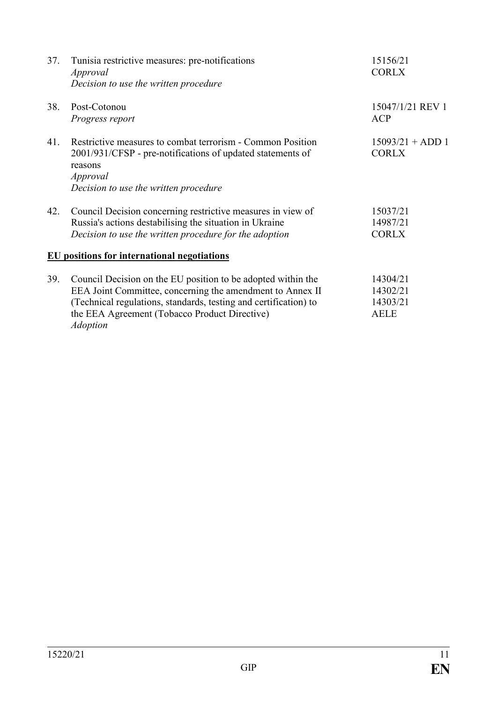| 37. | Tunisia restrictive measures: pre-notifications<br>Approval                                                                                                                                                                                                       | 15156/21<br><b>CORLX</b>                        |
|-----|-------------------------------------------------------------------------------------------------------------------------------------------------------------------------------------------------------------------------------------------------------------------|-------------------------------------------------|
|     | Decision to use the written procedure                                                                                                                                                                                                                             |                                                 |
| 38. | Post-Cotonou<br>Progress report                                                                                                                                                                                                                                   | 15047/1/21 REV 1<br><b>ACP</b>                  |
| 41. | Restrictive measures to combat terrorism - Common Position<br>2001/931/CFSP - pre-notifications of updated statements of<br>reasons<br>Approval<br>Decision to use the written procedure                                                                          | $15093/21 + ADD 1$<br><b>CORLX</b>              |
| 42. | Council Decision concerning restrictive measures in view of<br>Russia's actions destabilising the situation in Ukraine<br>Decision to use the written procedure for the adoption                                                                                  | 15037/21<br>14987/21<br><b>CORLX</b>            |
|     | <b>EU</b> positions for international negotiations                                                                                                                                                                                                                |                                                 |
| 39. | Council Decision on the EU position to be adopted within the<br>EEA Joint Committee, concerning the amendment to Annex II<br>(Technical regulations, standards, testing and certification) to<br>the EEA Agreement (Tobacco Product Directive)<br><b>Adoption</b> | 14304/21<br>14302/21<br>14303/21<br><b>AELE</b> |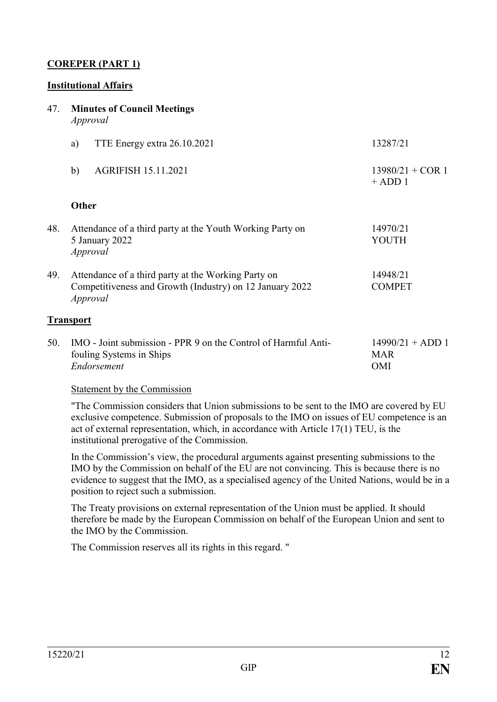# **COREPER (PART 1)**

### **Institutional Affairs**

#### 47. **Minutes of Council Meetings** *Approval*

|     | a)        | TTE Energy extra 26.10.2021                                                                                     | 13287/21                        |
|-----|-----------|-----------------------------------------------------------------------------------------------------------------|---------------------------------|
|     | b)        | <b>AGRIFISH 15.11.2021</b>                                                                                      | $13980/21 + COR$ 1<br>$+$ ADD 1 |
|     | Other     |                                                                                                                 |                                 |
| 48. | Approval  | Attendance of a third party at the Youth Working Party on<br>5 January 2022                                     | 14970/21<br>YOUTH               |
| 49. | Approval  | Attendance of a third party at the Working Party on<br>Competitiveness and Growth (Industry) on 12 January 2022 | 14948/21<br><b>COMPET</b>       |
|     | Transport |                                                                                                                 |                                 |

| 50. IMO - Joint submission - PPR 9 on the Control of Harmful Anti- | $14990/21 + ADD 1$ |
|--------------------------------------------------------------------|--------------------|
| fouling Systems in Ships                                           | <b>MAR</b>         |
| Endorsement                                                        | OMI                |

#### Statement by the Commission

"The Commission considers that Union submissions to be sent to the IMO are covered by EU exclusive competence. Submission of proposals to the IMO on issues of EU competence is an act of external representation, which, in accordance with Article 17(1) TEU, is the institutional prerogative of the Commission.

In the Commission's view, the procedural arguments against presenting submissions to the IMO by the Commission on behalf of the EU are not convincing. This is because there is no evidence to suggest that the IMO, as a specialised agency of the United Nations, would be in a position to reject such a submission.

The Treaty provisions on external representation of the Union must be applied. It should therefore be made by the European Commission on behalf of the European Union and sent to the IMO by the Commission.

The Commission reserves all its rights in this regard. "